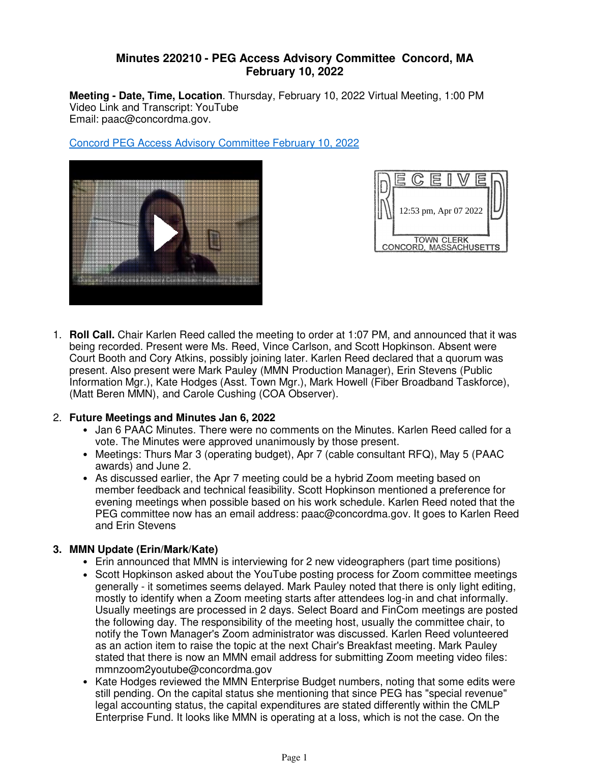## **Minutes 220210 - PEG Access Advisory Committee Concord, MA February 10, 2022**

**Meeting - Date, Time, Location**. Thursday, February 10, 2022 Virtual Meeting, 1:00 PM Video Link and Transcript: YouTube Email: paac@concordma.gov.

Concord PEG Access Advisory Committee February 10, 2022





**Roll Call.** Chair Karlen Reed called the meeting to order at 1:07 PM, and announced that it was 1. being recorded. Present were Ms. Reed, Vince Carlson, and Scott Hopkinson. Absent were Court Booth and Cory Atkins, possibly joining later. Karlen Reed declared that a quorum was present. Also present were Mark Pauley (MMN Production Manager), Erin Stevens (Public Information Mgr.), Kate Hodges (Asst. Town Mgr.), Mark Howell (Fiber Broadband Taskforce), (Matt Beren MMN), and Carole Cushing (COA Observer).

## **Future Meetings and Minutes Jan 6, 2022** 2.

- Jan 6 PAAC Minutes. There were no comments on the Minutes. Karlen Reed called for a vote. The Minutes were approved unanimously by those present.
- Meetings: Thurs Mar 3 (operating budget), Apr 7 (cable consultant RFQ), May 5 (PAAC awards) and June 2.
- As discussed earlier, the Apr 7 meeting could be a hybrid Zoom meeting based on member feedback and technical feasibility. Scott Hopkinson mentioned a preference for evening meetings when possible based on his work schedule. Karlen Reed noted that the PEG committee now has an email address: paac@concordma.gov. It goes to Karlen Reed and Erin Stevens

# **MMN Update (Erin/Mark/Kate) 3.**

- Erin announced that MMN is interviewing for 2 new videographers (part time positions)
- Scott Hopkinson asked about the YouTube posting process for Zoom committee meetings generally - it sometimes seems delayed. Mark Pauley noted that there is only light editing, mostly to identify when a Zoom meeting starts after attendees log-in and chat informally. Usually meetings are processed in 2 days. Select Board and FinCom meetings are posted the following day. The responsibility of the meeting host, usually the committee chair, to notify the Town Manager's Zoom administrator was discussed. Karlen Reed volunteered as an action item to raise the topic at the next Chair's Breakfast meeting. Mark Pauley stated that there is now an MMN email address for submitting Zoom meeting video files: mmnzoom2youtube@concordma.gov
- Kate Hodges reviewed the MMN Enterprise Budget numbers, noting that some edits were still pending. On the capital status she mentioning that since PEG has "special revenue" legal accounting status, the capital expenditures are stated differently within the CMLP Enterprise Fund. It looks like MMN is operating at a loss, which is not the case. On the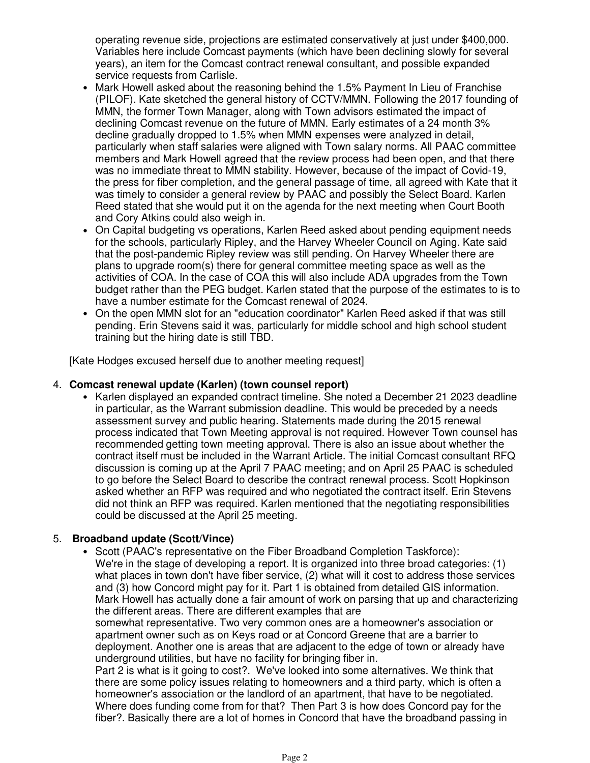operating revenue side, projections are estimated conservatively at just under \$400,000. Variables here include Comcast payments (which have been declining slowly for several years), an item for the Comcast contract renewal consultant, and possible expanded service requests from Carlisle.

- Mark Howell asked about the reasoning behind the 1.5% Payment In Lieu of Franchise (PILOF). Kate sketched the general history of CCTV/MMN. Following the 2017 founding of MMN, the former Town Manager, along with Town advisors estimated the impact of declining Comcast revenue on the future of MMN. Early estimates of a 24 month 3% decline gradually dropped to 1.5% when MMN expenses were analyzed in detail, particularly when staff salaries were aligned with Town salary norms. All PAAC committee members and Mark Howell agreed that the review process had been open, and that there was no immediate threat to MMN stability. However, because of the impact of Covid-19, the press for fiber completion, and the general passage of time, all agreed with Kate that it was timely to consider a general review by PAAC and possibly the Select Board. Karlen Reed stated that she would put it on the agenda for the next meeting when Court Booth and Cory Atkins could also weigh in.
- On Capital budgeting vs operations, Karlen Reed asked about pending equipment needs for the schools, particularly Ripley, and the Harvey Wheeler Council on Aging. Kate said that the post-pandemic Ripley review was still pending. On Harvey Wheeler there are plans to upgrade room(s) there for general committee meeting space as well as the activities of COA. In the case of COA this will also include ADA upgrades from the Town budget rather than the PEG budget. Karlen stated that the purpose of the estimates to is to have a number estimate for the Comcast renewal of 2024.
- On the open MMN slot for an "education coordinator" Karlen Reed asked if that was still pending. Erin Stevens said it was, particularly for middle school and high school student training but the hiring date is still TBD. •

[Kate Hodges excused herself due to another meeting request]

#### **Comcast renewal update (Karlen) (town counsel report)** 4.

• Karlen displayed an expanded contract timeline. She noted a December 21 2023 deadline in particular, as the Warrant submission deadline. This would be preceded by a needs assessment survey and public hearing. Statements made during the 2015 renewal process indicated that Town Meeting approval is not required. However Town counsel has recommended getting town meeting approval. There is also an issue about whether the contract itself must be included in the Warrant Article. The initial Comcast consultant RFQ discussion is coming up at the April 7 PAAC meeting; and on April 25 PAAC is scheduled to go before the Select Board to describe the contract renewal process. Scott Hopkinson asked whether an RFP was required and who negotiated the contract itself. Erin Stevens did not think an RFP was required. Karlen mentioned that the negotiating responsibilities could be discussed at the April 25 meeting.

## **Broadband update (Scott/Vince)** 5.

• Scott (PAAC's representative on the Fiber Broadband Completion Taskforce): We're in the stage of developing a report. It is organized into three broad categories: (1) what places in town don't have fiber service, (2) what will it cost to address those services and (3) how Concord might pay for it. Part 1 is obtained from detailed GIS information. Mark Howell has actually done a fair amount of work on parsing that up and characterizing the different areas. There are different examples that are

somewhat representative. Two very common ones are a homeowner's association or apartment owner such as on Keys road or at Concord Greene that are a barrier to deployment. Another one is areas that are adjacent to the edge of town or already have underground utilities, but have no facility for bringing fiber in.

Part 2 is what is it going to cost?. We've looked into some alternatives. We think that there are some policy issues relating to homeowners and a third party, which is often a homeowner's association or the landlord of an apartment, that have to be negotiated. Where does funding come from for that? Then Part 3 is how does Concord pay for the fiber?. Basically there are a lot of homes in Concord that have the broadband passing in